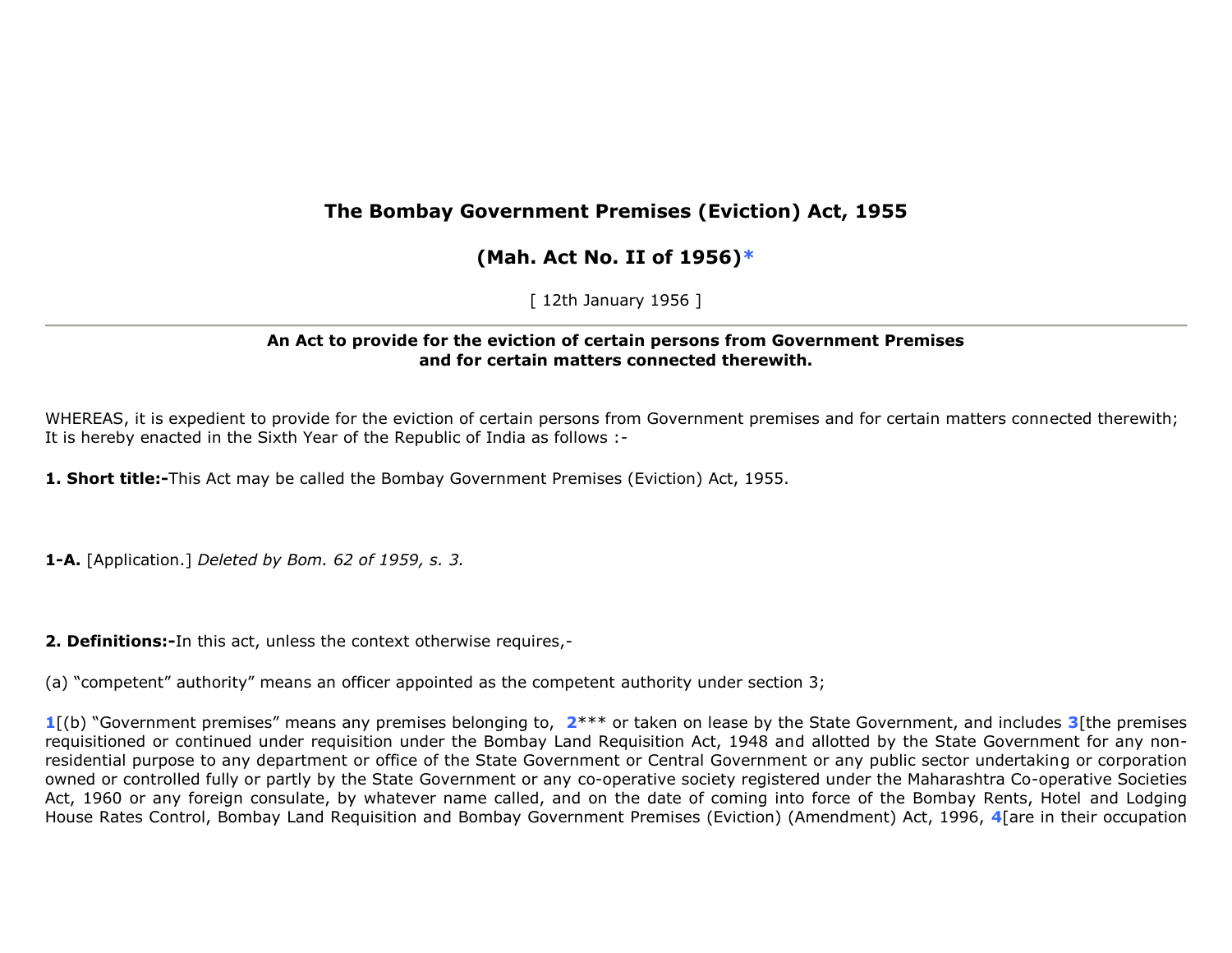# **The Bombay Government Premises (Eviction) Act, 1955**

# **(Mah. Act No. II of 1956)\***

[ 12th January 1956 ]

## **An Act to provide for the eviction of certain persons from Government Premises and for certain matters connected therewith.**

WHEREAS, it is expedient to provide for the eviction of certain persons from Government premises and for certain matters connected therewith; It is hereby enacted in the Sixth Year of the Republic of India as follows :-

**1. Short title:-**This Act may be called the Bombay Government Premises (Eviction) Act, 1955.

**1-A.** [Application.] *Deleted by Bom. 62 of 1959, s. 3.*

**2. Definitions:-**In this act, unless the context otherwise requires,-

(a) "competent" authority" means an officer appointed as the competent authority under section 3;

**1**[(b) "Government premises" means any premises belonging to, **2**\*\*\* or taken on lease by the State Government, and includes **3**[the premises requisitioned or continued under requisition under the Bombay Land Requisition Act, 1948 and allotted by the State Government for any nonresidential purpose to any department or office of the State Government or Central Government or any public sector undertaking or corporation owned or controlled fully or partly by the State Government or any co-operative society registered under the Maharashtra Co-operative Societies Act, 1960 or any foreign consulate, by whatever name called, and on the date of coming into force of the Bombay Rents, Hotel and Lodging House Rates Control, Bombay Land Requisition and Bombay Government Premises (Eviction) (Amendment) Act, 1996, **4**[are in their occupation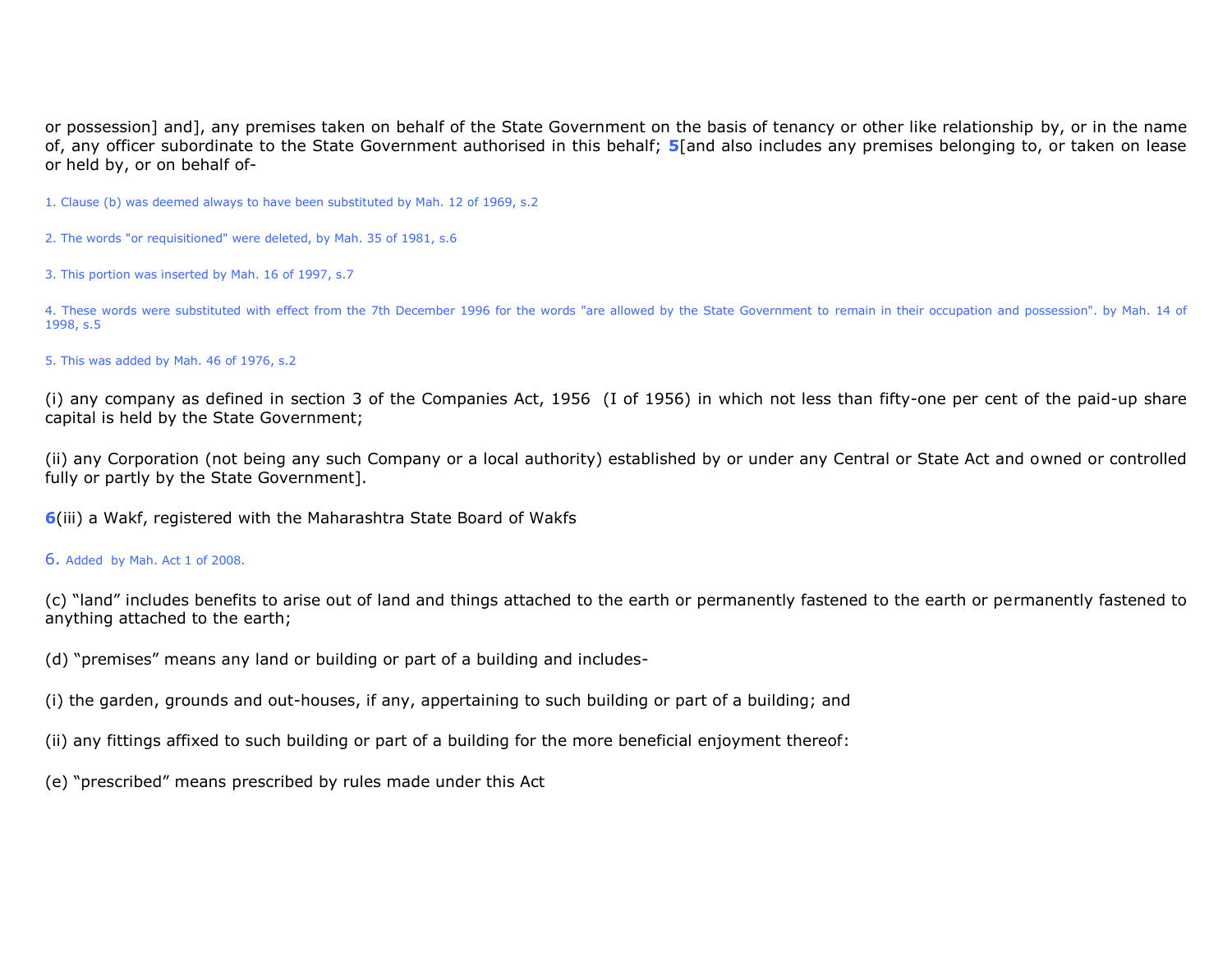or possession] and], any premises taken on behalf of the State Government on the basis of tenancy or other like relationship by, or in the name of, any officer subordinate to the State Government authorised in this behalf; **5**[and also includes any premises belonging to, or taken on lease or held by, or on behalf of-

1. Clause (b) was deemed always to have been substituted by Mah. 12 of 1969, s.2

- 2. The words "or requisitioned" were deleted, by Mah. 35 of 1981, s.6
- 3. This portion was inserted by Mah. 16 of 1997, s.7

4. These words were substituted with effect from the 7th December 1996 for the words "are allowed by the State Government to remain in their occupation and possession". by Mah. 14 of 1998, s.5

5. This was added by Mah. 46 of 1976, s.2

(i) any company as defined in section 3 of the Companies Act, 1956 (I of 1956) in which not less than fifty-one per cent of the paid-up share capital is held by the State Government;

(ii) any Corporation (not being any such Company or a local authority) established by or under any Central or State Act and owned or controlled fully or partly by the State Government].

**6**(iii) a Wakf, registered with the Maharashtra State Board of Wakfs

### 6. Added by Mah. Act 1 of 2008.

(c) "land" includes benefits to arise out of land and things attached to the earth or permanently fastened to the earth or permanently fastened to anything attached to the earth;

- (d) "premises" means any land or building or part of a building and includes-
- (i) the garden, grounds and out-houses, if any, appertaining to such building or part of a building; and
- (ii) any fittings affixed to such building or part of a building for the more beneficial enjoyment thereof:
- (e) "prescribed" means prescribed by rules made under this Act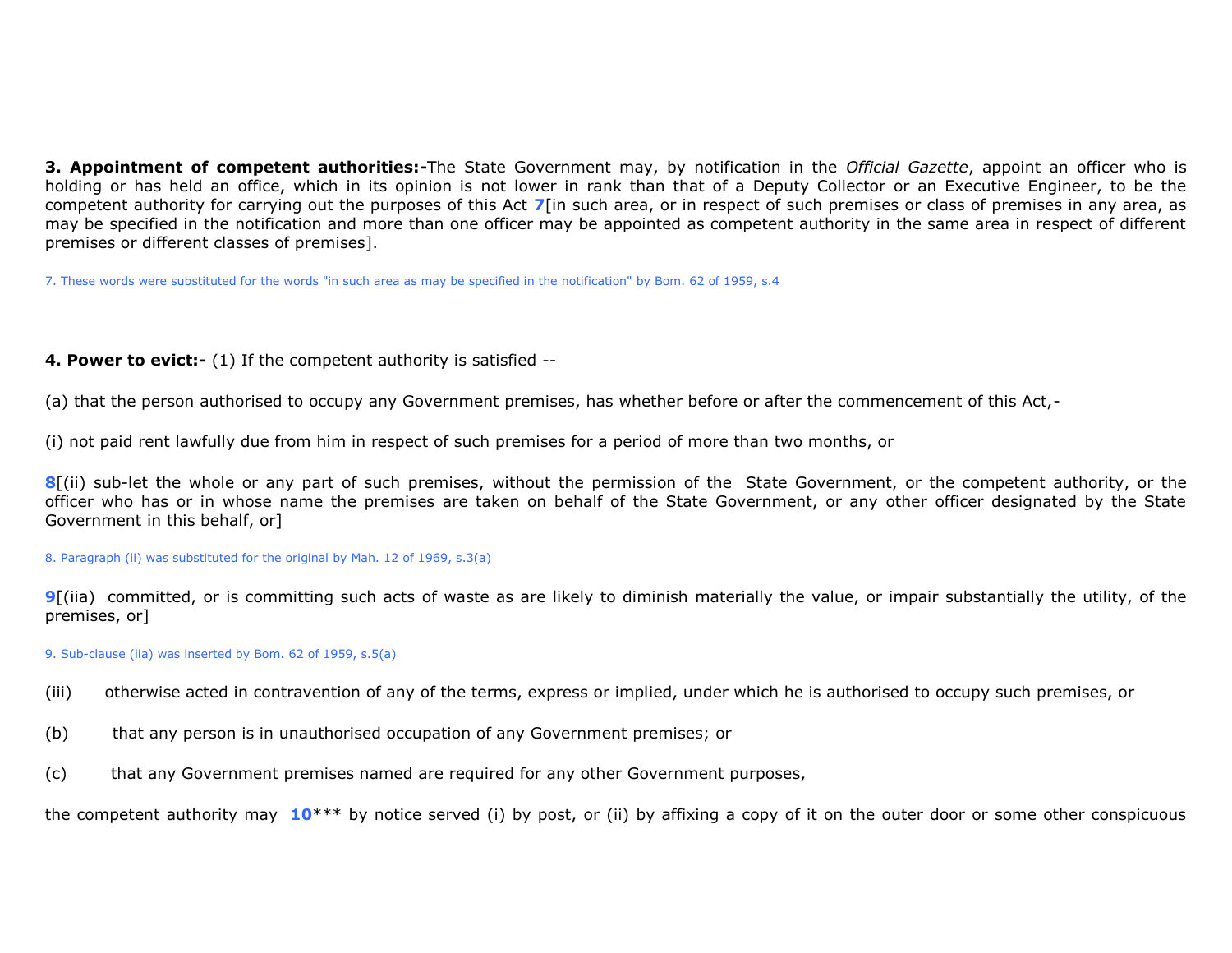**3. Appointment of competent authorities:-**The State Government may, by notification in the *Official Gazette*, appoint an officer who is holding or has held an office, which in its opinion is not lower in rank than that of a Deputy Collector or an Executive Engineer, to be the competent authority for carrying out the purposes of this Act **7**[in such area, or in respect of such premises or class of premises in any area, as may be specified in the notification and more than one officer may be appointed as competent authority in the same area in respect of different premises or different classes of premises].

7. These words were substituted for the words "in such area as may be specified in the notification" by Bom. 62 of 1959, s.4

## **4. Power to evict:-** (1) If the competent authority is satisfied --

(a) that the person authorised to occupy any Government premises, has whether before or after the commencement of this Act,-

(i) not paid rent lawfully due from him in respect of such premises for a period of more than two months, or

**8**[(ii) sub-let the whole or any part of such premises, without the permission of the State Government, or the competent authority, or the officer who has or in whose name the premises are taken on behalf of the State Government, or any other officer designated by the State Government in this behalf, or]

8. Paragraph (ii) was substituted for the original by Mah. 12 of 1969, s.3(a)

**9**[(iia) committed, or is committing such acts of waste as are likely to diminish materially the value, or impair substantially the utility, of the premises, or]

9. Sub-clause (iia) was inserted by Bom. 62 of 1959, s.5(a)

(iii) otherwise acted in contravention of any of the terms, express or implied, under which he is authorised to occupy such premises, or

- (b) that any person is in unauthorised occupation of any Government premises; or
- (c) that any Government premises named are required for any other Government purposes,

the competent authority may **10**\*\*\* by notice served (i) by post, or (ii) by affixing a copy of it on the outer door or some other conspicuous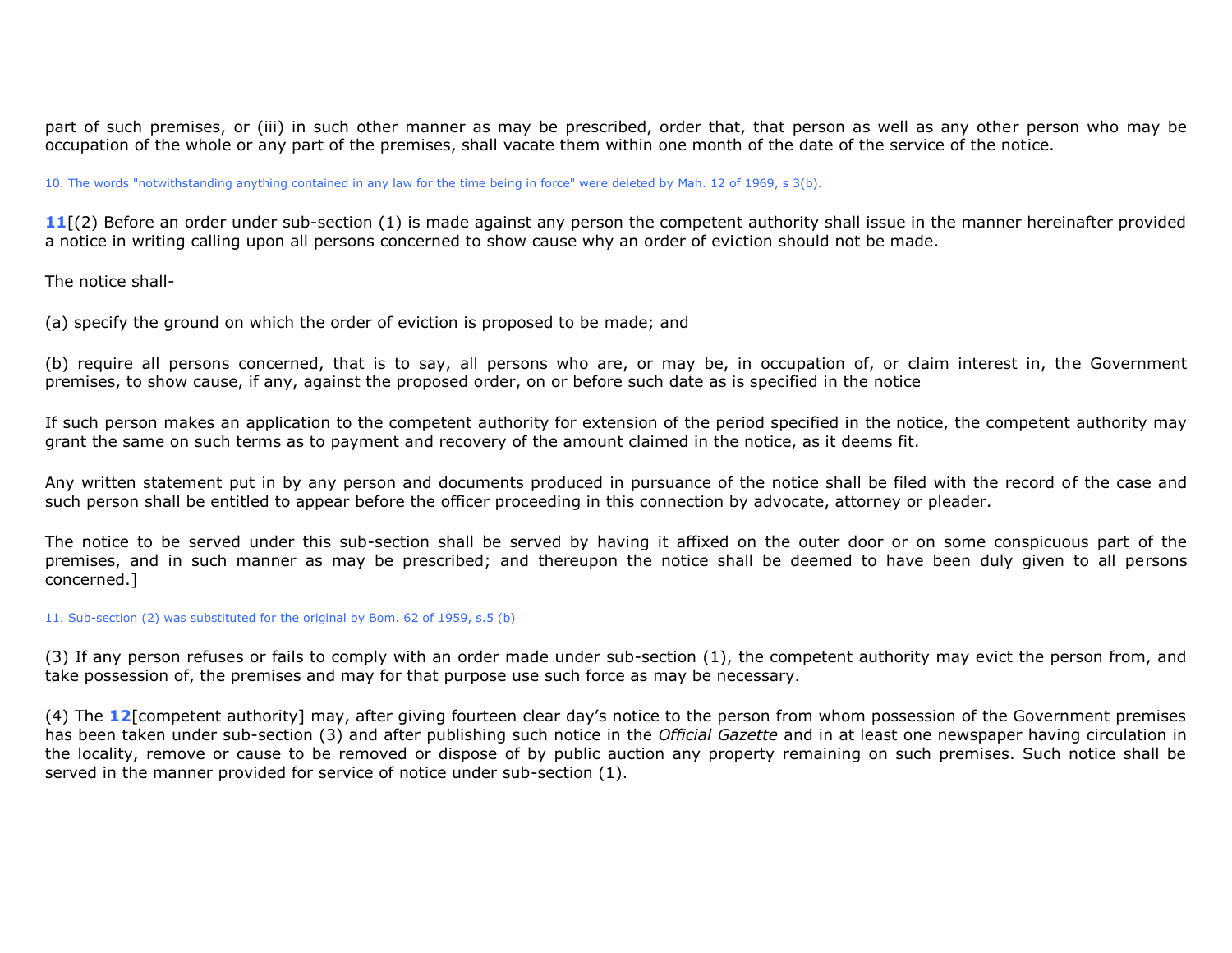part of such premises, or (iii) in such other manner as may be prescribed, order that, that person as well as any other person who may be occupation of the whole or any part of the premises, shall vacate them within one month of the date of the service of the notice.

10. The words "notwithstanding anything contained in any law for the time being in force" were deleted by Mah. 12 of 1969, s 3(b).

11<sup>[(2)</sup> Before an order under sub-section (1) is made against any person the competent authority shall issue in the manner hereinafter provided a notice in writing calling upon all persons concerned to show cause why an order of eviction should not be made.

The notice shall-

(a) specify the ground on which the order of eviction is proposed to be made; and

(b) require all persons concerned, that is to say, all persons who are, or may be, in occupation of, or claim interest in, the Government premises, to show cause, if any, against the proposed order, on or before such date as is specified in the notice

If such person makes an application to the competent authority for extension of the period specified in the notice, the competent authority may grant the same on such terms as to payment and recovery of the amount claimed in the notice, as it deems fit.

Any written statement put in by any person and documents produced in pursuance of the notice shall be filed with the record of the case and such person shall be entitled to appear before the officer proceeding in this connection by advocate, attorney or pleader.

The notice to be served under this sub-section shall be served by having it affixed on the outer door or on some conspicuous part of the premises, and in such manner as may be prescribed; and thereupon the notice shall be deemed to have been duly given to all persons concerned.]

11. Sub-section (2) was substituted for the original by Bom. 62 of 1959, s.5 (b)

(3) If any person refuses or fails to comply with an order made under sub-section (1), the competent authority may evict the person from, and take possession of, the premises and may for that purpose use such force as may be necessary.

(4) The **12**[competent authority] may, after giving fourteen clear day's notice to the person from whom possession of the Government premises has been taken under sub-section (3) and after publishing such notice in the *Official Gazette* and in at least one newspaper having circulation in the locality, remove or cause to be removed or dispose of by public auction any property remaining on such premises. Such notice shall be served in the manner provided for service of notice under sub-section (1).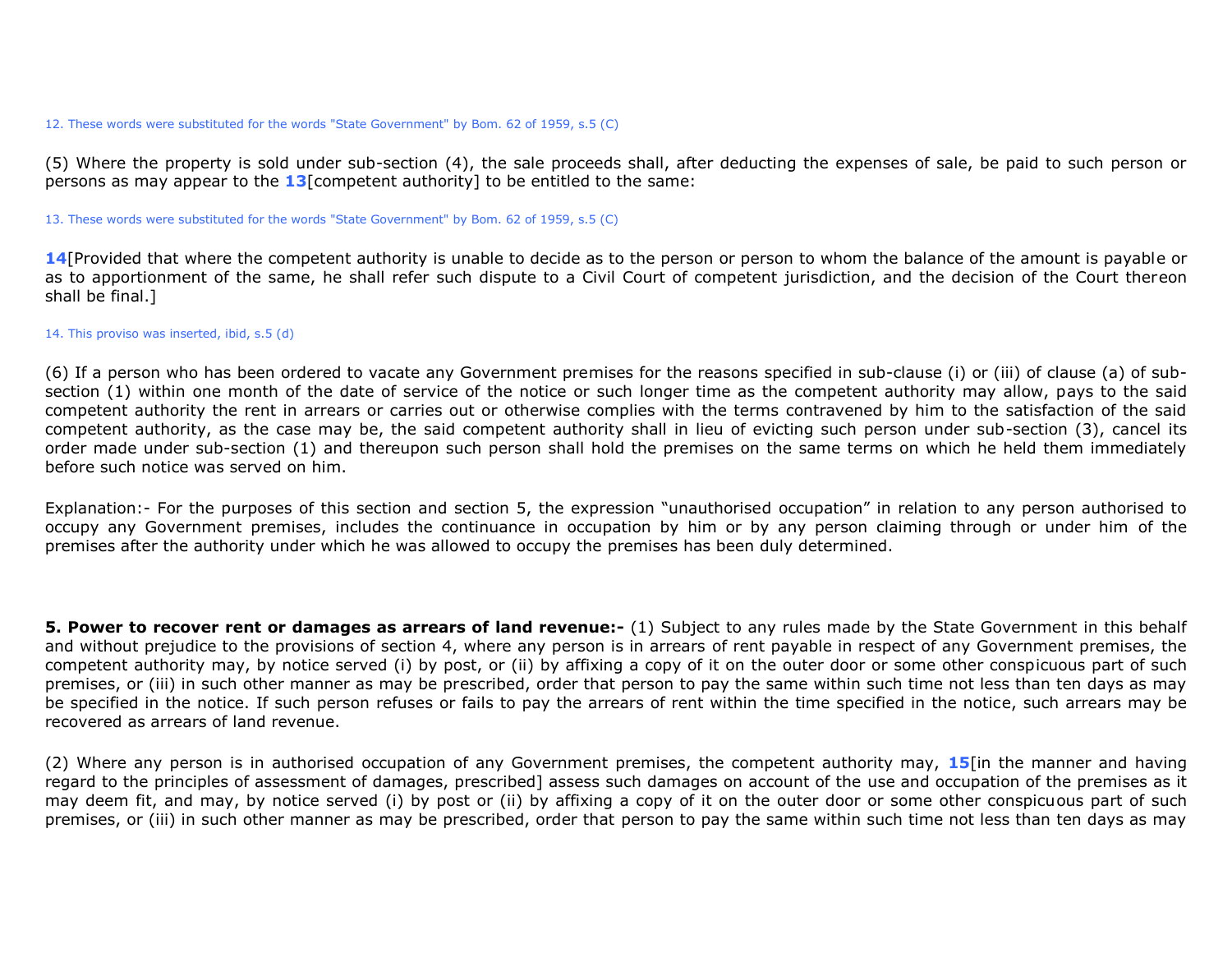#### 12. These words were substituted for the words "State Government" by Bom. 62 of 1959, s.5 (C)

(5) Where the property is sold under sub-section (4), the sale proceeds shall, after deducting the expenses of sale, be paid to such person or persons as may appear to the **13**[competent authority] to be entitled to the same:

#### 13. These words were substituted for the words "State Government" by Bom. 62 of 1959, s.5 (C)

**14**[Provided that where the competent authority is unable to decide as to the person or person to whom the balance of the amount is payable or as to apportionment of the same, he shall refer such dispute to a Civil Court of competent jurisdiction, and the decision of the Court thereon shall be final.]

### 14. This proviso was inserted, ibid, s.5 (d)

(6) If a person who has been ordered to vacate any Government premises for the reasons specified in sub-clause (i) or (iii) of clause (a) of subsection (1) within one month of the date of service of the notice or such longer time as the competent authority may allow, pays to the said competent authority the rent in arrears or carries out or otherwise complies with the terms contravened by him to the satisfaction of the said competent authority, as the case may be, the said competent authority shall in lieu of evicting such person under sub-section (3), cancel its order made under sub-section (1) and thereupon such person shall hold the premises on the same terms on which he held them immediately before such notice was served on him.

Explanation:- For the purposes of this section and section 5, the expression "unauthorised occupation" in relation to any person authorised to occupy any Government premises, includes the continuance in occupation by him or by any person claiming through or under him of the premises after the authority under which he was allowed to occupy the premises has been duly determined.

**5. Power to recover rent or damages as arrears of land revenue:-** (1) Subject to any rules made by the State Government in this behalf and without prejudice to the provisions of section 4, where any person is in arrears of rent payable in respect of any Government premises, the competent authority may, by notice served (i) by post, or (ii) by affixing a copy of it on the outer door or some other conspicuous part of such premises, or (iii) in such other manner as may be prescribed, order that person to pay the same within such time not less than ten days as may be specified in the notice. If such person refuses or fails to pay the arrears of rent within the time specified in the notice, such arrears may be recovered as arrears of land revenue.

(2) Where any person is in authorised occupation of any Government premises, the competent authority may, **15**[in the manner and having regard to the principles of assessment of damages, prescribed] assess such damages on account of the use and occupation of the premises as it may deem fit, and may, by notice served (i) by post or (ii) by affixing a copy of it on the outer door or some other conspicuous part of such premises, or (iii) in such other manner as may be prescribed, order that person to pay the same within such time not less than ten days as may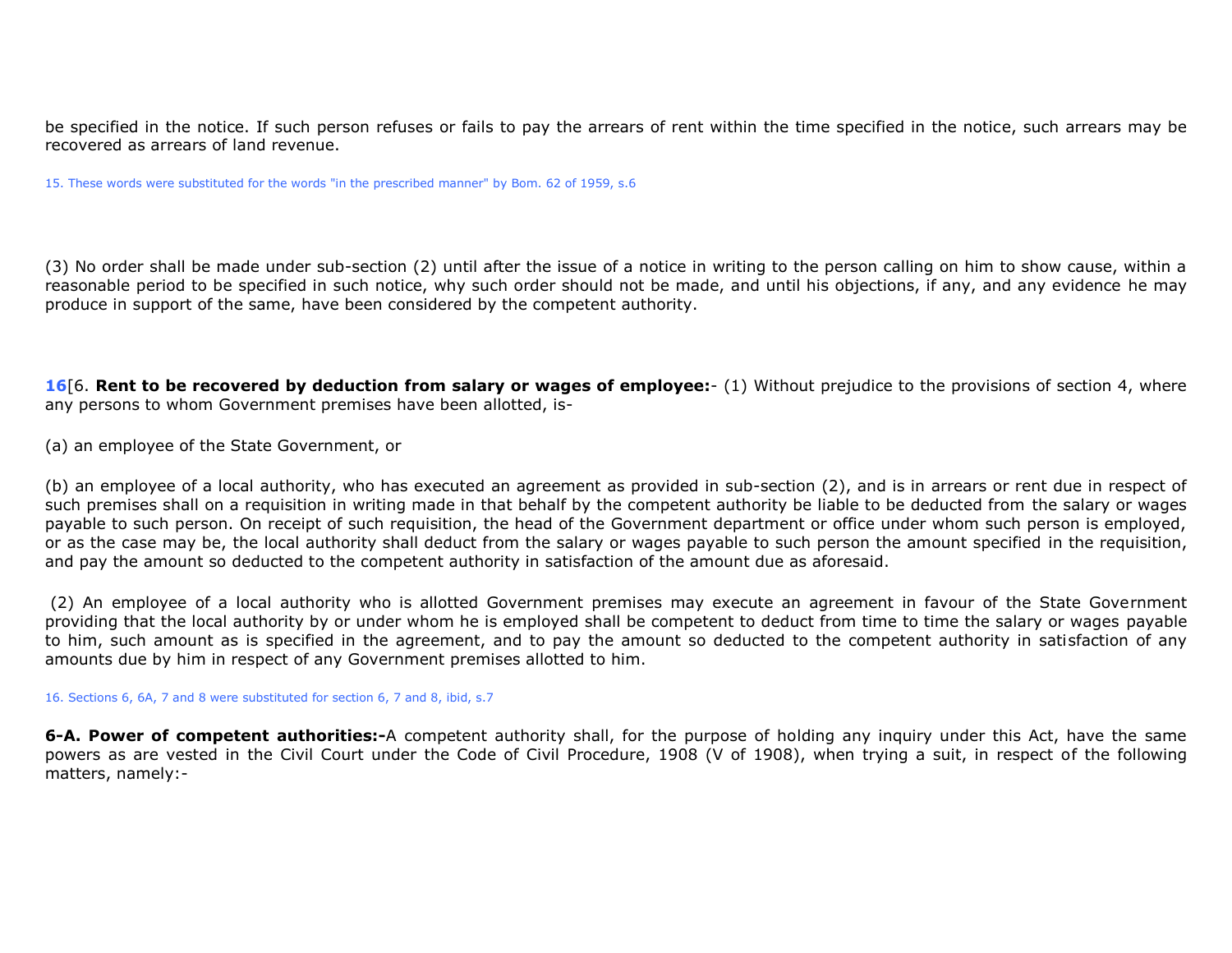be specified in the notice. If such person refuses or fails to pay the arrears of rent within the time specified in the notice, such arrears may be recovered as arrears of land revenue.

15. These words were substituted for the words "in the prescribed manner" by Bom. 62 of 1959, s.6

(3) No order shall be made under sub-section (2) until after the issue of a notice in writing to the person calling on him to show cause, within a reasonable period to be specified in such notice, why such order should not be made, and until his objections, if any, and any evidence he may produce in support of the same, have been considered by the competent authority.

**16**[6. **Rent to be recovered by deduction from salary or wages of employee:**- (1) Without prejudice to the provisions of section 4, where any persons to whom Government premises have been allotted, is-

(a) an employee of the State Government, or

(b) an employee of a local authority, who has executed an agreement as provided in sub-section (2), and is in arrears or rent due in respect of such premises shall on a requisition in writing made in that behalf by the competent authority be liable to be deducted from the salary or wages payable to such person. On receipt of such requisition, the head of the Government department or office under whom such person is employed, or as the case may be, the local authority shall deduct from the salary or wages payable to such person the amount specified in the requisition, and pay the amount so deducted to the competent authority in satisfaction of the amount due as aforesaid.

(2) An employee of a local authority who is allotted Government premises may execute an agreement in favour of the State Government providing that the local authority by or under whom he is employed shall be competent to deduct from time to time the salary or wages payable to him, such amount as is specified in the agreement, and to pay the amount so deducted to the competent authority in satisfaction of any amounts due by him in respect of any Government premises allotted to him.

16. Sections 6, 6A, 7 and 8 were substituted for section 6, 7 and 8, ibid, s.7

**6-A. Power of competent authorities:-**A competent authority shall, for the purpose of holding any inquiry under this Act, have the same powers as are vested in the Civil Court under the Code of Civil Procedure, 1908 (V of 1908), when trying a suit, in respect of the following matters, namely:-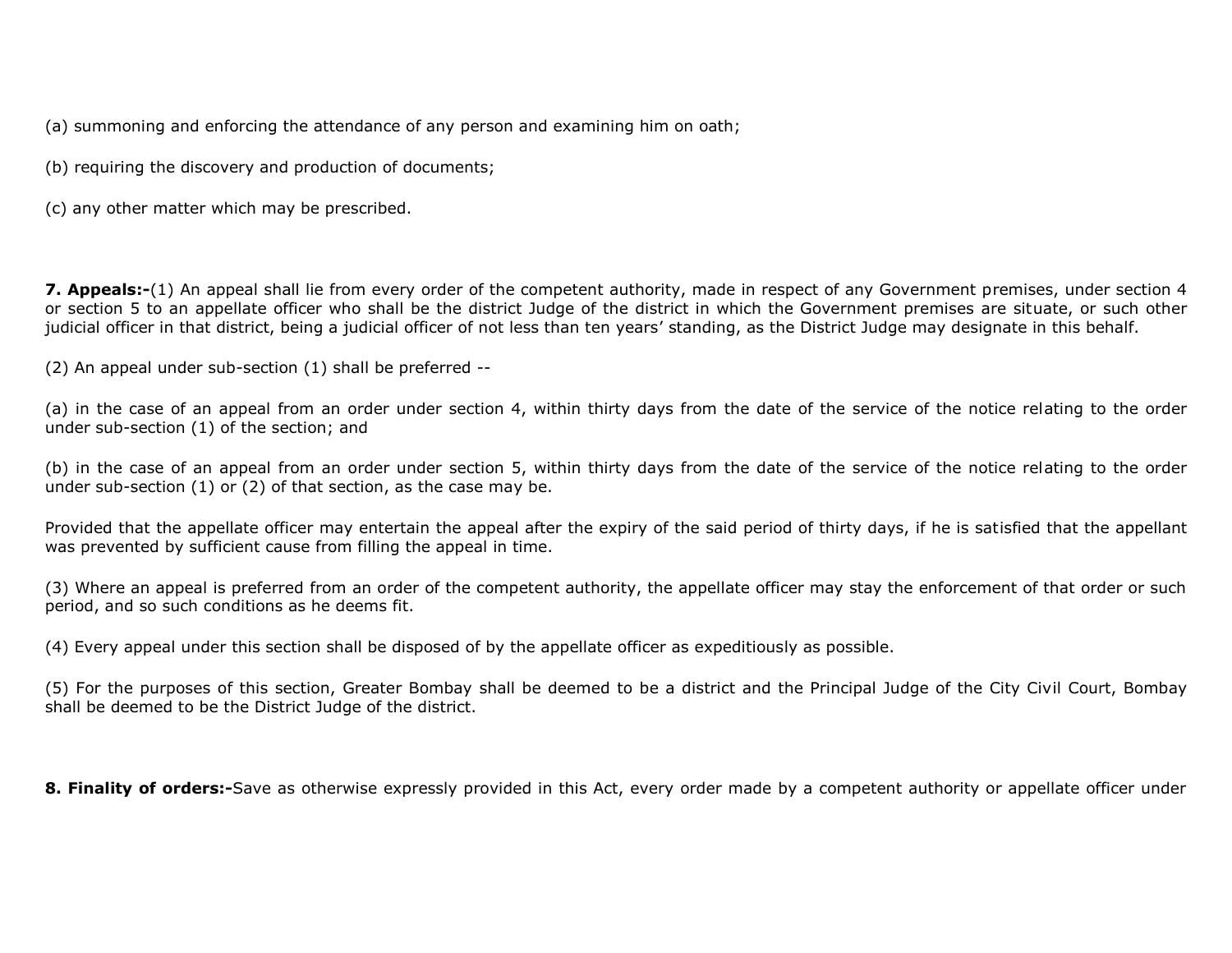(a) summoning and enforcing the attendance of any person and examining him on oath;

(b) requiring the discovery and production of documents;

(c) any other matter which may be prescribed.

**7. Appeals:-**(1) An appeal shall lie from every order of the competent authority, made in respect of any Government premises, under section 4 or section 5 to an appellate officer who shall be the district Judge of the district in which the Government premises are situate, or such other judicial officer in that district, being a judicial officer of not less than ten years' standing, as the District Judge may designate in this behalf.

(2) An appeal under sub-section (1) shall be preferred --

(a) in the case of an appeal from an order under section 4, within thirty days from the date of the service of the notice relating to the order under sub-section (1) of the section; and

(b) in the case of an appeal from an order under section 5, within thirty days from the date of the service of the notice relating to the order under sub-section (1) or (2) of that section, as the case may be.

Provided that the appellate officer may entertain the appeal after the expiry of the said period of thirty days, if he is satisfied that the appellant was prevented by sufficient cause from filling the appeal in time.

(3) Where an appeal is preferred from an order of the competent authority, the appellate officer may stay the enforcement of that order or such period, and so such conditions as he deems fit.

(4) Every appeal under this section shall be disposed of by the appellate officer as expeditiously as possible.

(5) For the purposes of this section, Greater Bombay shall be deemed to be a district and the Principal Judge of the City Civil Court, Bombay shall be deemed to be the District Judge of the district.

**8. Finality of orders:-**Save as otherwise expressly provided in this Act, every order made by a competent authority or appellate officer under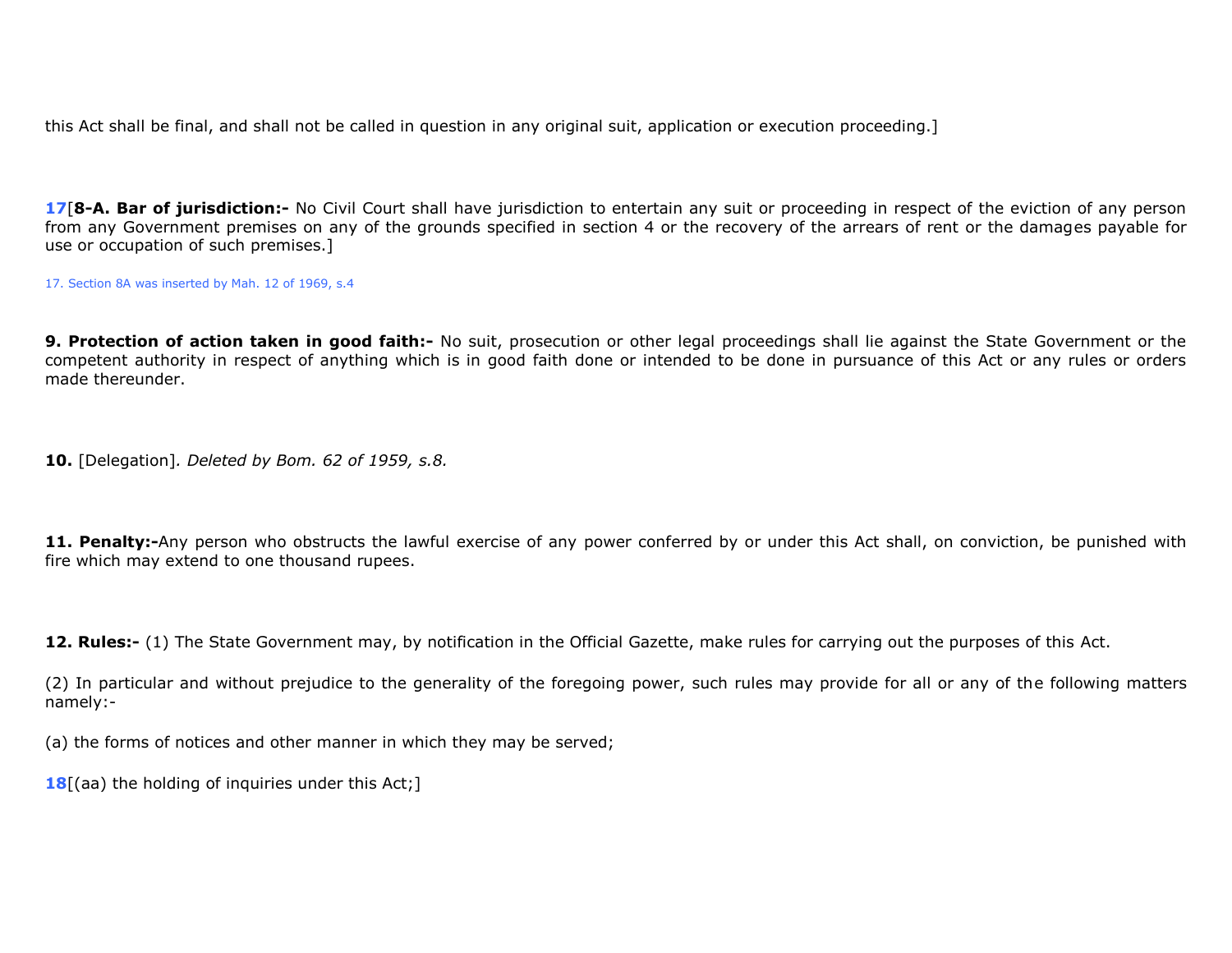this Act shall be final, and shall not be called in question in any original suit, application or execution proceeding.]

**17**[**8-A. Bar of jurisdiction:-** No Civil Court shall have jurisdiction to entertain any suit or proceeding in respect of the eviction of any person from any Government premises on any of the grounds specified in section 4 or the recovery of the arrears of rent or the damages payable for use or occupation of such premises.]

17. Section 8A was inserted by Mah. 12 of 1969, s.4

9. Protection of action taken in good faith:- No suit, prosecution or other legal proceedings shall lie against the State Government or the competent authority in respect of anything which is in good faith done or intended to be done in pursuance of this Act or any rules or orders made thereunder.

**10.** [Delegation]*. Deleted by Bom. 62 of 1959, s.8.*

11. Penalty:-Any person who obstructs the lawful exercise of any power conferred by or under this Act shall, on conviction, be punished with fire which may extend to one thousand rupees.

**12. Rules:-** (1) The State Government may, by notification in the Official Gazette, make rules for carrying out the purposes of this Act.

(2) In particular and without prejudice to the generality of the foregoing power, such rules may provide for all or any of the following matters namely:-

(a) the forms of notices and other manner in which they may be served;

**18**[(aa) the holding of inquiries under this Act;]